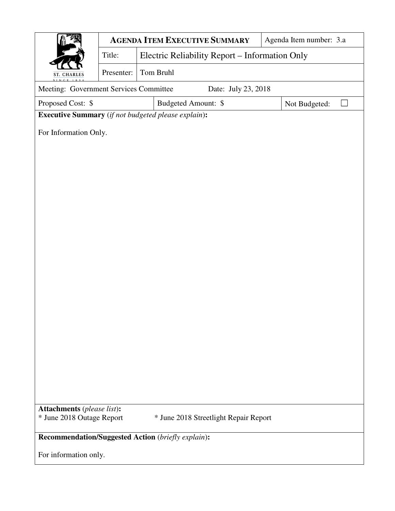|                                                                           |            | <b>AGENDA ITEM EXECUTIVE SUMMARY</b>           | Agenda Item number: 3.a |  |  |  |  |  |
|---------------------------------------------------------------------------|------------|------------------------------------------------|-------------------------|--|--|--|--|--|
|                                                                           | Title:     | Electric Reliability Report - Information Only |                         |  |  |  |  |  |
| <b>ST. CHARLES</b>                                                        | Presenter: | Tom Bruhl                                      |                         |  |  |  |  |  |
| SINCE 18<br>Meeting: Government Services Committee<br>Date: July 23, 2018 |            |                                                |                         |  |  |  |  |  |
| Proposed Cost: \$                                                         |            | Budgeted Amount: \$                            | Not Budgeted:           |  |  |  |  |  |
| <b>Executive Summary</b> (if not budgeted please explain):                |            |                                                |                         |  |  |  |  |  |
| For Information Only.                                                     |            |                                                |                         |  |  |  |  |  |
|                                                                           |            |                                                |                         |  |  |  |  |  |
|                                                                           |            |                                                |                         |  |  |  |  |  |
|                                                                           |            |                                                |                         |  |  |  |  |  |
|                                                                           |            |                                                |                         |  |  |  |  |  |
|                                                                           |            |                                                |                         |  |  |  |  |  |
|                                                                           |            |                                                |                         |  |  |  |  |  |
|                                                                           |            |                                                |                         |  |  |  |  |  |
|                                                                           |            |                                                |                         |  |  |  |  |  |
|                                                                           |            |                                                |                         |  |  |  |  |  |
|                                                                           |            |                                                |                         |  |  |  |  |  |
|                                                                           |            |                                                |                         |  |  |  |  |  |
|                                                                           |            |                                                |                         |  |  |  |  |  |
|                                                                           |            |                                                |                         |  |  |  |  |  |
|                                                                           |            |                                                |                         |  |  |  |  |  |
|                                                                           |            |                                                |                         |  |  |  |  |  |
|                                                                           |            |                                                |                         |  |  |  |  |  |
|                                                                           |            |                                                |                         |  |  |  |  |  |
|                                                                           |            |                                                |                         |  |  |  |  |  |
|                                                                           |            |                                                |                         |  |  |  |  |  |
| <b>Attachments</b> (please list):                                         |            |                                                |                         |  |  |  |  |  |
| * June 2018 Outage Report                                                 |            | * June 2018 Streetlight Repair Report          |                         |  |  |  |  |  |
| Recommendation/Suggested Action (briefly explain):                        |            |                                                |                         |  |  |  |  |  |
| For information only.                                                     |            |                                                |                         |  |  |  |  |  |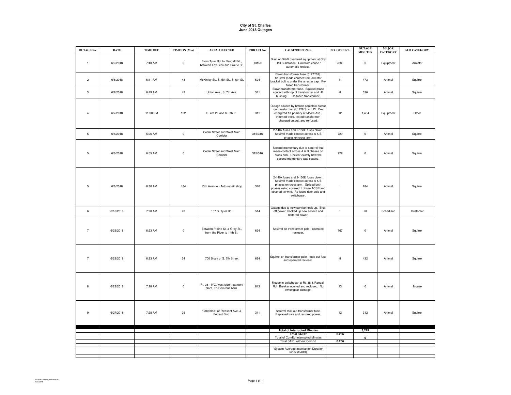## **City of St. Charles June 2018 Outages**

| <b>OUTAGE No.</b> | <b>DATE</b> | <b>TIME OFF</b> | TIME ON (Min) | <b>AREA AFFECTED</b>                                               | <b>CIRCUIT No.</b> | <b>CAUSE/RESPONSE</b>                                                                                                                                                                                                | NO. OF CUST. | <b>OUTAGE</b><br><b>MINUTES</b> | <b>MAJOR</b><br><b>CATEGORY</b> | <b>SUB CATEGORY</b> |
|-------------------|-------------|-----------------|---------------|--------------------------------------------------------------------|--------------------|----------------------------------------------------------------------------------------------------------------------------------------------------------------------------------------------------------------------|--------------|---------------------------------|---------------------------------|---------------------|
| $\mathbf{1}$      | 6/2/2018    | 7:40 AM         | $\pmb{0}$     | From Tyler Rd. to Randall Rd.,<br>between Fox Glen and Prairie St. | 13150              | Blast on 34kV overhead equipment at City<br>Hall Substation. Unknown cause /<br>automatic reclose.                                                                                                                   | 2880         | $\mathbf 0$                     | Equipment                       | Arrester            |
| $\overline{c}$    | 6/6/2018    | 6:11 AM         | 43            | McKinley St., S. 5th St., S. 6th St.                               | 624                | Blown transformer fuse (5127T02).<br>Squirrel made contact from arrester<br>bracket bolt to under the arrester cap. Re-<br>fused transformer.                                                                        | 11           | 473                             | Animal                          | Squirrel            |
| $\mathbf{3}$      | 6/7/2018    | 6:49 AM         | 42            | Union Ave., S. 7th Ave.                                            | 311                | Blown transformer fuse. Squirrel made<br>contact with top of transformer and H1<br>bushing. Re-fused transformer.                                                                                                    | 8            | 336                             | Animal                          | Squirrel            |
| $\overline{4}$    | 6/7/2018    | 11:30 PM        | 122           | S. 4th Pl. and S. 5th Pl.                                          | 311                | Outage caused by broken porcelain cutout<br>on transformer at 1728 S. 4th Pl. De-<br>energized 10 primary at Moore Ave.,<br>trimmed trees, tested transformer,<br>changed cutout, and re-fused.                      | 12           | 1,464                           | Equipment                       | Other               |
| $\sqrt{5}$        | 6/8/2018    | 5:26 AM         | $\mathbf 0$   | Cedar Street and West Main<br>Corridor                             | 315/316            | 2-140k fuses and 2-150E fuses blown.<br>Squirrel made contact across A & B<br>phases on cross arm.                                                                                                                   | 729          | $\mathbf 0$                     | Animal                          | Squirrel            |
| 5                 | 6/8/2018    | 6:55 AM         | $\mathbf 0$   | Cedar Street and West Main<br>Corridor                             | 315/316            | Second momentary due to squirrel that<br>made contact across A & B phases on<br>cross arm. Unclear exactly how the<br>second momentary was caused.                                                                   | 729          | $\mathbf 0$                     | Animal                          | Squirrel            |
| $\overline{5}$    | 6/8/2018    | 8:30 AM         | 184           | 13th Avenue - Auto repair shop                                     | 316                | 2-140k fuses and 2-150E fuses blown.<br>Squirrel made contact across A & B<br>phases on cross arm. Spliced both<br>phases using covered 1 phase ACSR and<br>covered tie wire. Re-fused riser pole and<br>switchgear. | $\mathbf{1}$ | 184                             | Animal                          | Squirrel            |
| 6                 | 6/16/2018   | 7:20 AM         | 28            | 157 S. Tyler Rd.                                                   | 514                | Outage due to new service hook up. Shut<br>off power, hooked up new service and<br>restored power.                                                                                                                   | $\,$ 1       | 28                              | Scheduled                       | Customer            |
| $\overline{7}$    | 6/23/2018   | 6:23 AM         | $\pmb{0}$     | Between Prairie St. & Gray St.,<br>from the River to 14th St.      | 624                | Squirrel on transformer pole - operated<br>recloser.                                                                                                                                                                 | 767          | $\pmb{0}$                       | Animal                          | Squirrel            |
| $\overline{7}$    | 6/23/2018   | 6:23 AM         | 54            | 700 Block of S. 7th Street                                         | 624                | Squirrel on transformer pole - took out fuse<br>and operated recloser.                                                                                                                                               | 8            | 432                             | Animal                          | Squirrel            |
| $\mathbf{a}$      | 6/23/2018   | 7:28 AM         | $\pmb{0}$     | Rt. 38 - IYC, west side treatment<br>plant, Tri-Com bus barn.      | 813                | Mouse in switchgear at Rt. 38 & Randall<br>Rd. Breaker opened and reclosed. No<br>switchgear damage.                                                                                                                 | 13           | $\mathbf 0$                     | Animal                          | Mouse               |
| $\mathsf g$       | 6/27/2018   | 7:28 AM         | 26            | 1700 block of Pleasant Ave. &<br>Forrest Blvd.                     | 311                | Squirrel took out transformer fuse.<br>Replaced fuse and restored power.                                                                                                                                             | 12           | 312                             | Animal                          | Squirrel            |
|                   |             |                 |               |                                                                    |                    | <b>Total of Interrupted Minutes</b>                                                                                                                                                                                  |              | 3,229                           |                                 |                     |
|                   |             |                 |               |                                                                    |                    | <b>Total SAIDI*</b><br>Total of ComEd Interrupted Minutes                                                                                                                                                            | 0.206        | $\overline{\mathbf{0}}$         |                                 |                     |
|                   |             |                 |               |                                                                    |                    | Total SAIDI without ComEd                                                                                                                                                                                            | 0.206        |                                 |                                 |                     |
|                   |             |                 |               |                                                                    |                    | *System Average Interruption Duration<br>Index (SAIDI)                                                                                                                                                               |              |                                 |                                 |                     |
|                   |             |                 |               |                                                                    |                    |                                                                                                                                                                                                                      |              |                                 |                                 |                     |